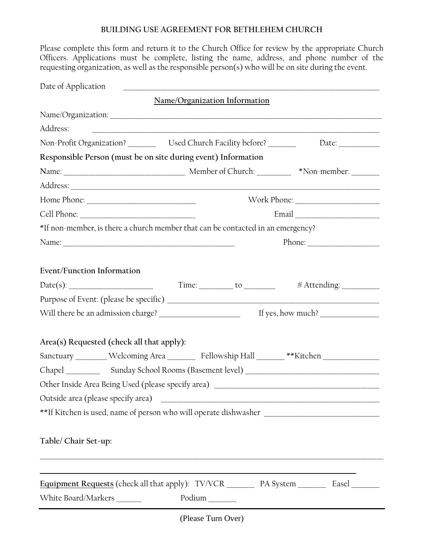## **BUILDING USE AGREEMENT FOR BETHLEHEM CHURCH**

Please complete this form and return it to the Church Office for review by the appropriate Church Officers. Applications must be complete, listing the name, address, and phone number of the requesting organization, as well as the responsible person(s) who will be on site during the event.

| Date of Application               |                                                                                                                                                                                                                                                                                                                                                                                          | <u> 2000 - Jan Alexander (f. 1888)</u>                                                                               |                                                                                                                                                                                                                                                                                                                                                                                                              |  |
|-----------------------------------|------------------------------------------------------------------------------------------------------------------------------------------------------------------------------------------------------------------------------------------------------------------------------------------------------------------------------------------------------------------------------------------|----------------------------------------------------------------------------------------------------------------------|--------------------------------------------------------------------------------------------------------------------------------------------------------------------------------------------------------------------------------------------------------------------------------------------------------------------------------------------------------------------------------------------------------------|--|
|                                   |                                                                                                                                                                                                                                                                                                                                                                                          | Name/Organization Information                                                                                        |                                                                                                                                                                                                                                                                                                                                                                                                              |  |
|                                   |                                                                                                                                                                                                                                                                                                                                                                                          |                                                                                                                      |                                                                                                                                                                                                                                                                                                                                                                                                              |  |
| Address:                          |                                                                                                                                                                                                                                                                                                                                                                                          |                                                                                                                      | <u> 1980 - Andrea Stadt Britain, amerikan bestean ingilang pada sebagai pada sebagai pada sebagai pada sebagai pa</u>                                                                                                                                                                                                                                                                                        |  |
|                                   |                                                                                                                                                                                                                                                                                                                                                                                          | Non-Profit Organization? __________ Used Church Facility before? ________                                            | Date: $\qquad \qquad$                                                                                                                                                                                                                                                                                                                                                                                        |  |
|                                   |                                                                                                                                                                                                                                                                                                                                                                                          | Responsible Person (must be on site during event) Information                                                        |                                                                                                                                                                                                                                                                                                                                                                                                              |  |
|                                   |                                                                                                                                                                                                                                                                                                                                                                                          |                                                                                                                      |                                                                                                                                                                                                                                                                                                                                                                                                              |  |
|                                   |                                                                                                                                                                                                                                                                                                                                                                                          |                                                                                                                      |                                                                                                                                                                                                                                                                                                                                                                                                              |  |
|                                   |                                                                                                                                                                                                                                                                                                                                                                                          |                                                                                                                      |                                                                                                                                                                                                                                                                                                                                                                                                              |  |
|                                   |                                                                                                                                                                                                                                                                                                                                                                                          |                                                                                                                      |                                                                                                                                                                                                                                                                                                                                                                                                              |  |
|                                   |                                                                                                                                                                                                                                                                                                                                                                                          | *If non-member, is there a church member that can be contacted in an emergency?                                      |                                                                                                                                                                                                                                                                                                                                                                                                              |  |
|                                   |                                                                                                                                                                                                                                                                                                                                                                                          |                                                                                                                      | Phone: $\frac{1}{\sqrt{1-\frac{1}{2}}\sqrt{1-\frac{1}{2}}\sqrt{1-\frac{1}{2}}\sqrt{1-\frac{1}{2}}\sqrt{1-\frac{1}{2}}\sqrt{1-\frac{1}{2}}\sqrt{1-\frac{1}{2}}\sqrt{1-\frac{1}{2}}\sqrt{1-\frac{1}{2}}\sqrt{1-\frac{1}{2}}\sqrt{1-\frac{1}{2}}\sqrt{1-\frac{1}{2}}\sqrt{1-\frac{1}{2}}\sqrt{1-\frac{1}{2}}\sqrt{1-\frac{1}{2}}\sqrt{1-\frac{1}{2}}\sqrt{1-\frac{1}{2}}\sqrt{1-\frac{1}{2}}\sqrt{1-\frac{1}{2$ |  |
|                                   |                                                                                                                                                                                                                                                                                                                                                                                          |                                                                                                                      |                                                                                                                                                                                                                                                                                                                                                                                                              |  |
| <b>Event/Function Information</b> |                                                                                                                                                                                                                                                                                                                                                                                          |                                                                                                                      |                                                                                                                                                                                                                                                                                                                                                                                                              |  |
|                                   |                                                                                                                                                                                                                                                                                                                                                                                          | $Date(s):$ Time: $\_\_$ to $\_\_$                                                                                    |                                                                                                                                                                                                                                                                                                                                                                                                              |  |
|                                   |                                                                                                                                                                                                                                                                                                                                                                                          |                                                                                                                      |                                                                                                                                                                                                                                                                                                                                                                                                              |  |
|                                   | If yes, how much? $\frac{1}{\sqrt{1-\frac{1}{2}}}\left\{ \frac{1}{2} + \frac{1}{2} + \frac{1}{2} + \frac{1}{2} + \frac{1}{2} + \frac{1}{2} + \frac{1}{2} + \frac{1}{2} + \frac{1}{2} + \frac{1}{2} + \frac{1}{2} + \frac{1}{2} + \frac{1}{2} + \frac{1}{2} + \frac{1}{2} + \frac{1}{2} + \frac{1}{2} + \frac{1}{2} + \frac{1}{2} + \frac{1}{2} + \frac{1}{2} + \frac{1}{2} + \frac{1}{2$ |                                                                                                                      |                                                                                                                                                                                                                                                                                                                                                                                                              |  |
|                                   |                                                                                                                                                                                                                                                                                                                                                                                          |                                                                                                                      |                                                                                                                                                                                                                                                                                                                                                                                                              |  |
|                                   | Area(s) Requested (check all that apply):                                                                                                                                                                                                                                                                                                                                                |                                                                                                                      |                                                                                                                                                                                                                                                                                                                                                                                                              |  |
|                                   |                                                                                                                                                                                                                                                                                                                                                                                          |                                                                                                                      | Sanctuary ________ Welcoming Area ________ Fellowship Hall _______ **Kitchen _______________                                                                                                                                                                                                                                                                                                                 |  |
|                                   |                                                                                                                                                                                                                                                                                                                                                                                          |                                                                                                                      |                                                                                                                                                                                                                                                                                                                                                                                                              |  |
|                                   |                                                                                                                                                                                                                                                                                                                                                                                          |                                                                                                                      |                                                                                                                                                                                                                                                                                                                                                                                                              |  |
|                                   | Outside area (please specify area)                                                                                                                                                                                                                                                                                                                                                       | <u> 2000 - Jan James James James James James James James James James James James James James James James James J</u> |                                                                                                                                                                                                                                                                                                                                                                                                              |  |
|                                   |                                                                                                                                                                                                                                                                                                                                                                                          |                                                                                                                      |                                                                                                                                                                                                                                                                                                                                                                                                              |  |
|                                   |                                                                                                                                                                                                                                                                                                                                                                                          |                                                                                                                      |                                                                                                                                                                                                                                                                                                                                                                                                              |  |
| Table/ Chair Set-up:              |                                                                                                                                                                                                                                                                                                                                                                                          |                                                                                                                      |                                                                                                                                                                                                                                                                                                                                                                                                              |  |
|                                   |                                                                                                                                                                                                                                                                                                                                                                                          |                                                                                                                      |                                                                                                                                                                                                                                                                                                                                                                                                              |  |
|                                   |                                                                                                                                                                                                                                                                                                                                                                                          |                                                                                                                      |                                                                                                                                                                                                                                                                                                                                                                                                              |  |
|                                   |                                                                                                                                                                                                                                                                                                                                                                                          |                                                                                                                      |                                                                                                                                                                                                                                                                                                                                                                                                              |  |
|                                   | White Board/Markers _______                                                                                                                                                                                                                                                                                                                                                              | Podium                                                                                                               |                                                                                                                                                                                                                                                                                                                                                                                                              |  |
|                                   |                                                                                                                                                                                                                                                                                                                                                                                          |                                                                                                                      |                                                                                                                                                                                                                                                                                                                                                                                                              |  |